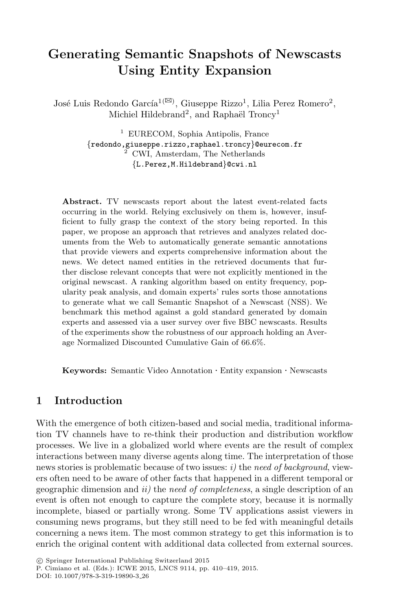# **Generating Semantic Snapshots of Newscasts Using Entity Expansion**

José Luis Redondo García<sup>1( $\boxtimes$ )</sup>, Giuseppe Rizzo<sup>1</sup>, Lilia Perez Romero<sup>2</sup>, Michiel Hildebrand<sup>2</sup>, and Raphaël Troncy<sup>1</sup>

> <sup>1</sup> EURECOM, Sophia Antipolis, France *{*redondo,giuseppe.rizzo,raphael.troncy*}*@eurecom.fr <sup>2</sup> CWI, Amsterdam, The Netherlands *{*L.Perez,M.Hildebrand*}*@cwi.nl

**Abstract.** TV newscasts report about the latest event-related facts occurring in the world. Relying exclusively on them is, however, insufficient to fully grasp the context of the story being reported. In this paper, we propose an approach that retrieves and analyzes related documents from the Web to automatically generate semantic annotations that provide viewers and experts comprehensive information about the news. We detect named entities in the retrieved documents that further disclose relevant concepts that were not explicitly mentioned in the original newscast. A ranking algorithm based on entity frequency, popularity peak analysis, and domain experts' rules sorts those annotations to generate what we call Semantic Snapshot of a Newscast (NSS). We benchmark this method against a gold standard generated by domain experts and assessed via a user survey over five BBC newscasts. Results of the experiments show the robustness of our approach holding an Average Normalized Discounted Cumulative Gain of 66.6%.

**Keywords:** Semantic Video Annotation · Entity expansion · Newscasts

## **1 Introduction**

With the emergence of both citizen-based and social media, traditional information TV channels have to re-think their production and distribution workflow processes. We live in a globalized world where events are the result of complex interactions between many diverse agents along time. The interpretation of those news stories is problematic because of two issues: *i)* the *need of background*, viewers often need to be aware of other facts that happened in a different temporal or geographic dimension and *ii)* the *need of completeness*, a single description of an event is often not enough to capture the complete story, because it is normally incomplete, biased or partially wrong. Some TV applications assist viewers in consuming news programs, but they still need to be fed with meaningful details concerning a news item. The most common strategy to get this information is to enrich the original content with additional data collected from external sources.

<sup>-</sup>c Springer International Publishing Switzerland 2015

P. Cimiano et al. (Eds.): ICWE 2015, LNCS 9114, pp. 410–419, 2015.

DOI: 10.1007/978-3-319-19890-3 26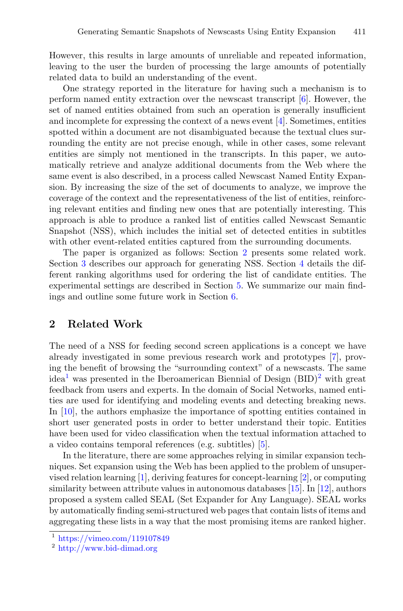However, this results in large amounts of unreliable and repeated information, leaving to the user the burden of processing the large amounts of potentially related data to build an understanding of the event.

One strategy reported in the literature for having such a mechanism is to perform named entity extraction over the newscast transcript [\[6\]](#page-9-0). However, the set of named entities obtained from such an operation is generally insufficient and incomplete for expressing the context of a news event [\[4](#page-9-1)]. Sometimes, entities spotted within a document are not disambiguated because the textual clues surrounding the entity are not precise enough, while in other cases, some relevant entities are simply not mentioned in the transcripts. In this paper, we automatically retrieve and analyze additional documents from the Web where the same event is also described, in a process called Newscast Named Entity Expansion. By increasing the size of the set of documents to analyze, we improve the coverage of the context and the representativeness of the list of entities, reinforcing relevant entities and finding new ones that are potentially interesting. This approach is able to produce a ranked list of entities called Newscast Semantic Snapshot (NSS), which includes the initial set of detected entities in subtitles with other event-related entities captured from the surrounding documents.

The paper is organized as follows: Section [2](#page-1-0) presents some related work. Section [3](#page-2-0) describes our approach for generating NSS. Section [4](#page-3-0) details the different ranking algorithms used for ordering the list of candidate entities. The experimental settings are described in Section [5.](#page-5-0) We summarize our main findings and outline some future work in Section [6.](#page-8-0)

## <span id="page-1-0"></span>**2 Related Work**

The need of a NSS for feeding second screen applications is a concept we have already investigated in some previous research work and prototypes [\[7](#page-9-2)], proving the benefit of browsing the "surrounding context" of a newscasts. The same idea<sup>[1](#page-1-1)</sup> was presented in the Iberoamerican Biennial of Design  $(BID)^2$  $(BID)^2$  with great feedback from users and experts. In the domain of Social Networks, named entities are used for identifying and modeling events and detecting breaking news. In [\[10](#page-9-3)], the authors emphasize the importance of spotting entities contained in short user generated posts in order to better understand their topic. Entities have been used for video classification when the textual information attached to a video contains temporal references (e.g. subtitles) [\[5](#page-9-4)].

In the literature, there are some approaches relying in similar expansion techniques. Set expansion using the Web has been applied to the problem of unsupervised relation learning [\[1\]](#page-9-5), deriving features for concept-learning [\[2\]](#page-9-6), or computing similarity between attribute values in autonomous databases [\[15\]](#page-9-7). In [\[12\]](#page-9-8), authors proposed a system called SEAL (Set Expander for Any Language). SEAL works by automatically finding semi-structured web pages that contain lists of items and aggregating these lists in a way that the most promising items are ranked higher.

<span id="page-1-1"></span><sup>1</sup> <https://vimeo.com/119107849>

<span id="page-1-2"></span><sup>2</sup> <http://www.bid-dimad.org>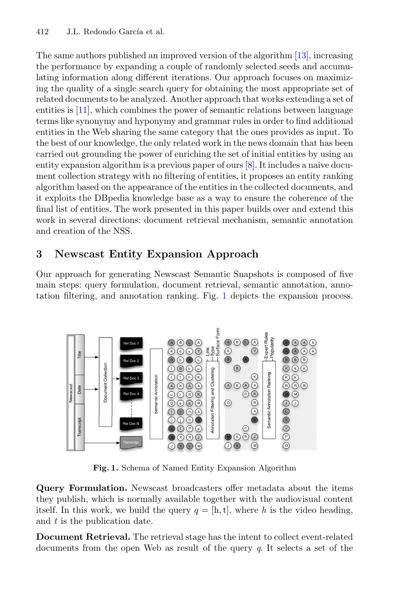The same authors published an improved version of the algorithm [\[13](#page-9-9)], increasing the performance by expanding a couple of randomly selected seeds and accumulating information along different iterations. Our approach focuses on maximizing the quality of a single search query for obtaining the most appropriate set of related documents to be analyzed. Another approach that works extending a set of entities is [\[11](#page-9-10)], which combines the power of semantic relations between language terms like synonymy and hyponymy and grammar rules in order to find additional entities in the Web sharing the same category that the ones provides as input. To the best of our knowledge, the only related work in the news domain that has been carried out grounding the power of enriching the set of initial entities by using an entity expansion algorithm is a previous paper of ours [\[8](#page-9-11)]. It includes a naive document collection strategy with no filtering of entities, it proposes an entity ranking algorithm based on the appearance of the entities in the collected documents, and it exploits the DBpedia knowledge base as a way to ensure the coherence of the final list of entities. The work presented in this paper builds over and extend this work in several directions: document retrieval mechanism, semantic annotation and creation of the NSS.

## <span id="page-2-0"></span>**3 Newscast Entity Expansion Approach**

Our approach for generating Newscast Semantic Snapshots is composed of five main steps: query formulation, document retrieval, semantic annotation, annotation filtering, and annotation ranking. Fig. [1](#page-2-1) depicts the expansion process.



<span id="page-2-1"></span>**Fig. 1.** Schema of Named Entity Expansion Algorithm

**Query Formulation.** Newscast broadcasters offer metadata about the items they publish, which is normally available together with the audiovisual content itself. In this work, we build the query  $q = [h, t]$ , where h is the video heading, and *t* is the publication date.

**Document Retrieval.** The retrieval stage has the intent to collect event-related documents from the open Web as result of the query *q*. It selects a set of the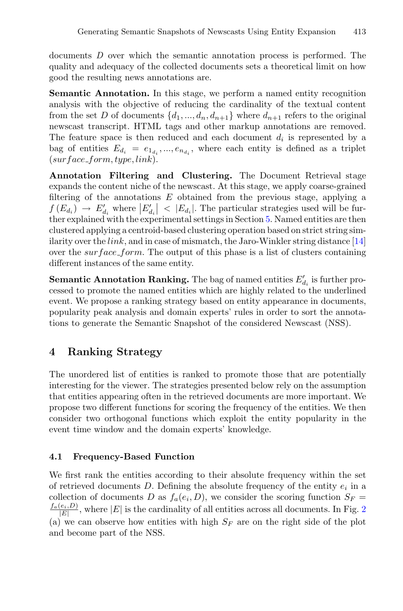documents *D* over which the semantic annotation process is performed. The quality and adequacy of the collected documents sets a theoretical limit on how good the resulting news annotations are.

**Semantic Annotation.** In this stage, we perform a named entity recognition analysis with the objective of reducing the cardinality of the textual content from the set D of documents  $\{d_1, ..., d_n, d_{n+1}\}$  where  $d_{n+1}$  refers to the original newscast transcript. HTML tags and other markup annotations are removed. The feature space is then reduced and each document  $d_i$  is represented by a bag of entities  $E_{d_i} = e_{1_{d_i}}, ..., e_{n_{d_i}}$ , where each entity is defined as a triplet  $(surface_{\text{form},\text{type},\text{link}})$ .

**Annotation Filtering and Clustering.** The Document Retrieval stage expands the content niche of the newscast. At this stage, we apply coarse-grained filtering of the annotations  $E$  obtained from the previous stage, applying a  $f(E_{d_i}) \rightarrow E'_{d_i}$  where  $|E'_{d_i}| < |E_{d_i}|$ . The particular strategies used will be further explained with the experimental settings in Section [5.](#page-5-0) Named entities are then clustered applying a centroid-based clustering operation based on strict string similarity over the *link*, and in case of mismatch, the Jaro-Winkler string distance  $[14]$ over the surface form. The output of this phase is a list of clusters containing different instances of the same entity.

**Semantic Annotation Ranking.** The bag of named entities  $E'_{d_i}$  is further processed to promote the named entities which are highly related to the underlined event. We propose a ranking strategy based on entity appearance in documents, popularity peak analysis and domain experts' rules in order to sort the annotations to generate the Semantic Snapshot of the considered Newscast (NSS).

## <span id="page-3-0"></span>**4 Ranking Strategy**

The unordered list of entities is ranked to promote those that are potentially interesting for the viewer. The strategies presented below rely on the assumption that entities appearing often in the retrieved documents are more important. We propose two different functions for scoring the frequency of the entities. We then consider two orthogonal functions which exploit the entity popularity in the event time window and the domain experts' knowledge.

## **4.1 Frequency-Based Function**

We first rank the entities according to their absolute frequency within the set of retrieved documents  $D$ . Defining the absolute frequency of the entity  $e_i$  in a collection of documents D as  $f_a(e_i, D)$ , we consider the scoring function  $S_F =$  $\frac{f_a(e_i, D)}{|E|}$ , where  $|E|$  is the cardinality of all entities across all documents. In Fig. [2](#page-4-0) (a) we can observe how entities with high S*<sup>F</sup>* are on the right side of the plot and become part of the NSS.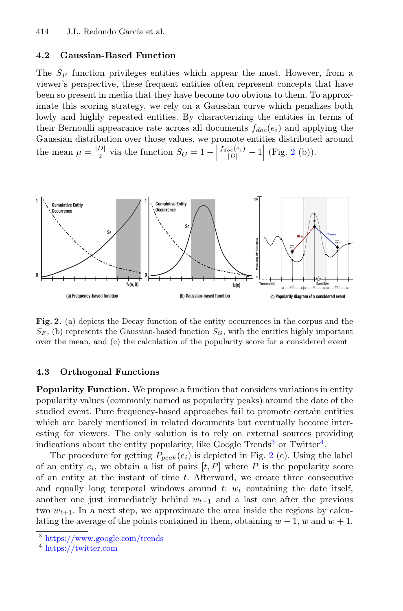#### **4.2 Gaussian-Based Function**

The S*<sup>F</sup>* function privileges entities which appear the most. However, from a viewer's perspective, these frequent entities often represent concepts that have been so present in media that they have become too obvious to them. To approximate this scoring strategy, we rely on a Gaussian curve which penalizes both lowly and highly repeated entities. By characterizing the entities in terms of their Bernoulli appearance rate across all documents  $f_{doc}(e_i)$  and applying the Gaussian distribution over those values, we promote entities distributed around the mean  $\mu = \frac{|D|}{2}$  $\mu = \frac{|D|}{2}$  $\mu = \frac{|D|}{2}$  via the function  $S_G = 1 - \left| \frac{f_{doc}(e_i)}{|D|} - 1 \right|$  (Fig. 2 (b)).



<span id="page-4-0"></span>**Fig. 2.** (a) depicts the Decay function of the entity occurrences in the corpus and the  $S_F$ , (b) represents the Gaussian-based function  $S_G$ , with the entities highly important over the mean, and (c) the calculation of the popularity score for a considered event

#### **4.3 Orthogonal Functions**

**Popularity Function.** We propose a function that considers variations in entity popularity values (commonly named as popularity peaks) around the date of the studied event. Pure frequency-based approaches fail to promote certain entities which are barely mentioned in related documents but eventually become interesting for viewers. The only solution is to rely on external sources providing indications about the entity popularity, like Google Trends<sup>[3](#page-4-1)</sup> or Twitter<sup>[4](#page-4-2)</sup>.

The procedure for getting  $P_{peak}(e_i)$  is depicted in Fig. [2](#page-4-0) (c). Using the label of an entity  $e_i$ , we obtain a list of pairs  $[t, P]$  where P is the popularity score of an entity at the instant of time  $t$ . Afterward, we create three consecutive and equally long temporal windows around  $t: w_t$  containing the date itself, another one just immediately behind w*<sup>t</sup>*−<sup>1</sup> and a last one after the previous two  $w_{t+1}$ . In a next step, we approximate the area inside the regions by calculating the average of the points contained in them, obtaining  $\overline{w-1}$ ,  $\overline{w}$  and  $\overline{w+1}$ .

<span id="page-4-1"></span><sup>3</sup> <https://www.google.com/trends>

<span id="page-4-2"></span><sup>4</sup> <https://twitter.com>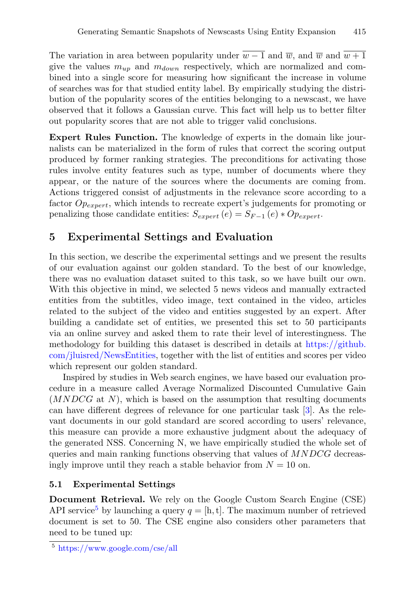The variation in area between popularity under  $\overline{w-1}$  and  $\overline{w}$ , and  $\overline{w}$  and  $\overline{w+1}$ give the values  $m_{up}$  and  $m_{down}$  respectively, which are normalized and combined into a single score for measuring how significant the increase in volume of searches was for that studied entity label. By empirically studying the distribution of the popularity scores of the entities belonging to a newscast, we have observed that it follows a Gaussian curve. This fact will help us to better filter out popularity scores that are not able to trigger valid conclusions.

**Expert Rules Function.** The knowledge of experts in the domain like journalists can be materialized in the form of rules that correct the scoring output produced by former ranking strategies. The preconditions for activating those rules involve entity features such as type, number of documents where they appear, or the nature of the sources where the documents are coming from. Actions triggered consist of adjustments in the relevance score according to a factor Op*expert*, which intends to recreate expert's judgements for promoting or penalizing those candidate entities:  $S_{expert}(e) = S_{F-1}(e) * Op_{expert}$ .

## <span id="page-5-0"></span>**5 Experimental Settings and Evaluation**

In this section, we describe the experimental settings and we present the results of our evaluation against our golden standard. To the best of our knowledge, there was no evaluation dataset suited to this task, so we have built our own. With this objective in mind, we selected 5 news videos and manually extracted entities from the subtitles, video image, text contained in the video, articles related to the subject of the video and entities suggested by an expert. After building a candidate set of entities, we presented this set to 50 participants via an online survey and asked them to rate their level of interestingness. The methodology for building this dataset is described in details at [https://github.](https://github.com/jluisred/NewsEntities) [com/jluisred/NewsEntities,](https://github.com/jluisred/NewsEntities) together with the list of entities and scores per video which represent our golden standard.

Inspired by studies in Web search engines, we have based our evaluation procedure in a measure called Average Normalized Discounted Cumulative Gain  $(MNDCG$  at N), which is based on the assumption that resulting documents can have different degrees of relevance for one particular task [\[3](#page-9-13)]. As the relevant documents in our gold standard are scored according to users' relevance, this measure can provide a more exhaustive judgment about the adequacy of the generated NSS. Concerning N, we have empirically studied the whole set of queries and main ranking functions observing that values of  $MNDCG$  decreasingly improve until they reach a stable behavior from  $N = 10$  on.

### **5.1 Experimental Settings**

**Document Retrieval.** We rely on the Google Custom Search Engine (CSE) API service<sup>[5](#page-5-1)</sup> by launching a query  $q = [h, t]$ . The maximum number of retrieved document is set to 50. The CSE engine also considers other parameters that need to be tuned up:

<span id="page-5-1"></span><sup>5</sup> <https://www.google.com/cse/all>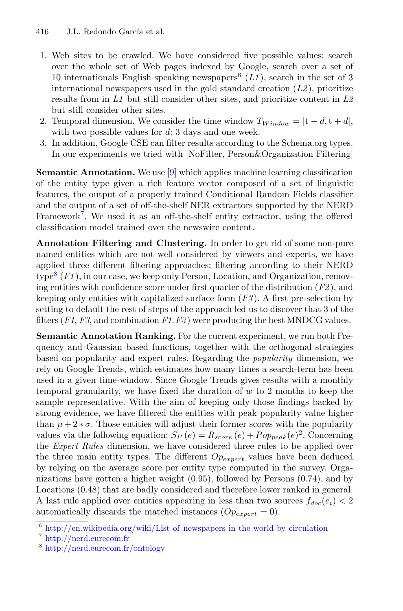- 1. Web sites to be crawled. We have considered five possible values: search over the whole set of Web pages indexed by Google, search over a set of 10 internationals English speaking newspapers<sup>[6](#page-6-0)</sup>  $(L1)$ , search in the set of 3 international newspapers used in the gold standard creation (*L2* ), prioritize results from in *L1* but still consider other sites, and prioritize content in *L2* but still consider other sites.
- 2. Temporal dimension. We consider the time window  $T_{Window} = [t d, t + d]$ , with two possible values for  $d: 3$  days and one week.
- 3. In addition, Google CSE can filter results according to the Schema.org types. In our experiments we tried with [NoFilter, Person&Organization Filtering]

**Semantic Annotation.** We use [\[9](#page-9-14)] which applies machine learning classification of the entity type given a rich feature vector composed of a set of linguistic features, the output of a properly trained Conditional Random Fields classifier and the output of a set of off-the-shelf NER extractors supported by the NERD Framework[7](#page-6-1). We used it as an off-the-shelf entity extractor, using the offered classification model trained over the newswire content.

**Annotation Filtering and Clustering.** In order to get rid of some non-pure named entities which are not well considered by viewers and experts, we have applied three different filtering approaches: filtering according to their NERD type<sup>[8](#page-6-2)</sup> (*F1*), in our case, we keep only Person, Location, and Organization, removing entities with confidence score under first quarter of the distribution (*F2* ), and keeping only entities with capitalized surface form (*F3* ). A first pre-selection by setting to default the rest of steps of the approach led us to discover that 3 of the filters  $(F1, F3,$  and combination  $F1_F3$  were producing the best MNDCG values.

**Semantic Annotation Ranking.** For the current experiment, we run both Frequency and Gaussian based functions, together with the orthogonal strategies based on popularity and expert rules. Regarding the *popularity* dimension, we rely on Google Trends, which estimates how many times a search-term has been used in a given time-window. Since Google Trends gives results with a monthly temporal granularity, we have fixed the duration of  $w$  to 2 months to keep the sample representative. With the aim of keeping only those findings backed by strong evidence, we have filtered the entities with peak popularity value higher than  $\mu + 2 * \sigma$ . Those entities will adjust their former scores with the popularity values via the following equation:  $S_P(e) = R_{score}(e) + Pop_{peak}(e)^2$ . Concerning the *Expert Rules* dimension, we have considered three rules to be applied over the three main entity types. The different Op*expert* values have been deduced by relying on the average score per entity type computed in the survey. Organizations have gotten a higher weight (0.95), followed by Persons (0.74), and by Locations (0.48) that are badly considered and therefore lower ranked in general. A last rule applied over entities appearing in less than two sources  $f_{doc}(e_i) < 2$ automatically discards the matched instances  $(Op_{expert} = 0)$ .

<span id="page-6-0"></span> $^6$ [http://en.wikipedia.org/wiki/List](http://en.wikipedia.org/wiki/List_of_newspapers_in_the_world_by_circulation)\_of\_newspapers\_in\_the\_world\_by\_circulation

<span id="page-6-1"></span><sup>7</sup> <http://nerd.eurecom.fr>

<span id="page-6-2"></span><sup>8</sup> <http://nerd.eurecom.fr/ontology>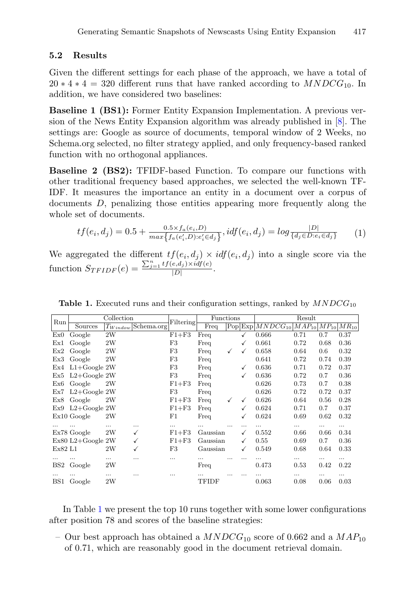### **5.2 Results**

Given the different settings for each phase of the approach, we have a total of  $20 * 4 * 4 = 320$  different runs that have ranked according to  $MNDCG_{10}$ . In addition, we have considered two baselines:

**Baseline 1 (BS1):** Former Entity Expansion Implementation. A previous version of the News Entity Expansion algorithm was already published in [\[8](#page-9-11)]. The settings are: Google as source of documents, temporal window of 2 Weeks, no Schema.org selected, no filter strategy applied, and only frequency-based ranked function with no orthogonal appliances.

**Baseline 2 (BS2):** TFIDF-based Function. To compare our functions with other traditional frequency based approaches, we selected the well-known TF-IDF. It measures the importance an entity in a document over a corpus of documents D, penalizing those entities appearing more frequently along the whole set of documents.

$$
tf(e_i, d_j) = 0.5 + \frac{0.5 \times f_a(e_i, D)}{\max\{f_a(e'_i, D): e'_i \in d_j\}}, idf(e_i, d_j) = \log \frac{|D|}{\{d_j \in D: e_i \in d_j\}} \tag{1}
$$

<span id="page-7-0"></span>We aggregated the different  $tf(e_i, d_j) \times idf(e_i, d_j)$  into a single score via the function  $S_{TFIDF}(e) = \frac{\sum_{j=1}^{n} tf(e,d_j) \times idf(e)}{|D|}$ .

| Run          | Collection          |          |                         | Filtering   | Functions                 |   |              | Result                         |          |      |                     |
|--------------|---------------------|----------|-------------------------|-------------|---------------------------|---|--------------|--------------------------------|----------|------|---------------------|
|              | Sources             |          | $T_{Window}$ Schema.org |             | $\overline{\text{F}}$ req |   |              | $Pop Exp MNDCG_{10} MAP_{10} $ |          |      | $MP_{10}   MR_{10}$ |
| Ex0          | Google              | 2W       |                         | $F1 + F3$   | Freq                      |   |              | 0.666                          | 0.71     | 0.7  | 0.37                |
| Ex1          | Google              | 2W       |                         | F3          | Freq                      |   | $\checkmark$ | 0.661                          | 0.72     | 0.68 | 0.36                |
| Ex2          | Google              | 2W       |                         | F3          | Freq                      | ✓ | ✓            | 0.658                          | 0.64     | 0.6  | 0.32                |
| Ex3          | Google              | 2W       |                         | F3          | Freq                      |   |              | 0.641                          | 0.72     | 0.74 | 0.39                |
| Ex4          | $L1 + Google 2W$    |          |                         | F3          | Freq                      |   | $\checkmark$ | 0.636                          | 0.71     | 0.72 | 0.37                |
| Ex5          | $L2 + Google 2W$    |          |                         | F3          | Freq                      |   | ✓            | 0.636                          | 0.72     | 0.7  | 0.36                |
| Ex6          | Google              | 2W       |                         | $F1 + F3$   | Freq                      |   |              | 0.626                          | 0.73     | 0.7  | 0.38                |
| Ex7          | $L2 + Google 2W$    |          |                         | F3          | Freq                      |   |              | 0.626                          | 0.72     | 0.72 | 0.37                |
| Ex8          | Google              | 2W       |                         | $F1 + F3$   | Freq                      | √ | ✓            | 0.626                          | 0.64     | 0.56 | 0.28                |
| Ex9          | $L2 + Google 2W$    |          |                         | $F1 + F3$   | Freq                      |   | ✓            | 0.624                          | 0.71     | 0.7  | 0.37                |
|              | Ex10 Google         | 2W       |                         | $_{\rm F1}$ | Freq                      |   |              | 0.624                          | 0.69     | 0.62 | 0.32                |
|              |                     | .        | .                       | $\cdots$    |                           |   |              |                                | .        | .    |                     |
|              | Ex78 Google         | 2W       | ✓                       | $F1 + F3$   | Gaussian                  |   | ✓            | 0.552                          | 0.66     | 0.66 | 0.34                |
|              | $Ex80 L2+Google$ 2W |          | ✓                       | $F1 + F3$   | Gaussian                  |   |              | 0.55                           | 0.69     | 0.7  | 0.36                |
| Ex82 L1      |                     | 2W       | ✓                       | F3          | Gaussian                  |   | ✓            | 0.549                          | 0.68     | 0.64 | 0.33                |
|              |                     | $\cdots$ | .                       | $\cdots$    | $\cdots$                  |   |              |                                | $\cdots$ | .    |                     |
| BS2          | Google              | 2W       |                         |             | Freq                      |   |              | 0.473                          | 0.53     | 0.42 | 0.22                |
|              | .                   | .        |                         |             |                           |   |              |                                | $\cdots$ |      |                     |
| $_{\rm BS1}$ | Google              | 2W       |                         |             | TFIDF                     |   |              | 0.063                          | 0.08     | 0.06 | 0.03                |

**Table 1.** Executed runs and their configuration settings, ranked by *MNDCG*<sup>10</sup>

In Table [1](#page-7-0) we present the top 10 runs together with some lower configurations after position 78 and scores of the baseline strategies:

– Our best approach has obtained a  $MNDCG_{10}$  score of 0.662 and a  $MAP_{10}$ of 0.71, which are reasonably good in the document retrieval domain.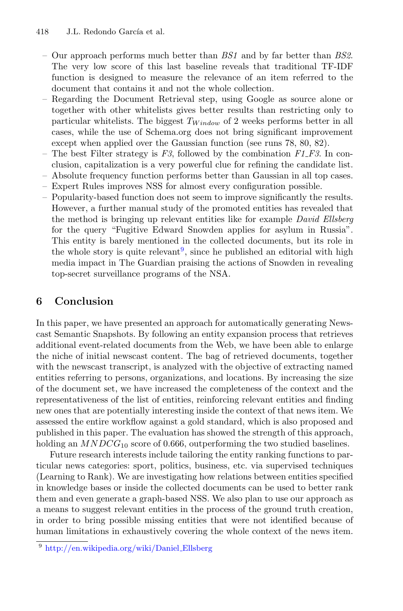- Our approach performs much better than *BS1* and by far better than *BS2*. The very low score of this last baseline reveals that traditional TF-IDF function is designed to measure the relevance of an item referred to the document that contains it and not the whole collection.
- Regarding the Document Retrieval step, using Google as source alone or together with other whitelists gives better results than restricting only to particular whitelists. The biggest T*W indow* of 2 weeks performs better in all cases, while the use of Schema.org does not bring significant improvement except when applied over the Gaussian function (see runs 78, 80, 82).
- The best Filter strategy is *F3*, followed by the combination *F1 F3*. In conclusion, capitalization is a very powerful clue for refining the candidate list.
- Absolute frequency function performs better than Gaussian in all top cases.
- Expert Rules improves NSS for almost every configuration possible.
- Popularity-based function does not seem to improve significantly the results. However, a further manual study of the promoted entities has revealed that the method is bringing up relevant entities like for example *David Ellsberg* for the query "Fugitive Edward Snowden applies for asylum in Russia". This entity is barely mentioned in the collected documents, but its role in the whole story is quite relevant<sup>[9](#page-8-1)</sup>, since he published an editorial with high media impact in The Guardian praising the actions of Snowden in revealing top-secret surveillance programs of the NSA.

## <span id="page-8-0"></span>**6 Conclusion**

In this paper, we have presented an approach for automatically generating Newscast Semantic Snapshots. By following an entity expansion process that retrieves additional event-related documents from the Web, we have been able to enlarge the niche of initial newscast content. The bag of retrieved documents, together with the newscast transcript, is analyzed with the objective of extracting named entities referring to persons, organizations, and locations. By increasing the size of the document set, we have increased the completeness of the context and the representativeness of the list of entities, reinforcing relevant entities and finding new ones that are potentially interesting inside the context of that news item. We assessed the entire workflow against a gold standard, which is also proposed and published in this paper. The evaluation has showed the strength of this approach, holding an  $MNDCG_{10}$  score of 0.666, outperforming the two studied baselines.

Future research interests include tailoring the entity ranking functions to particular news categories: sport, politics, business, etc. via supervised techniques (Learning to Rank). We are investigating how relations between entities specified in knowledge bases or inside the collected documents can be used to better rank them and even generate a graph-based NSS. We also plan to use our approach as a means to suggest relevant entities in the process of the ground truth creation, in order to bring possible missing entities that were not identified because of human limitations in exhaustively covering the whole context of the news item.

<span id="page-8-1"></span><sup>9</sup> [http://en.wikipedia.org/wiki/Daniel](http://en.wikipedia.org/wiki/Daniel_Ellsberg) Ellsberg